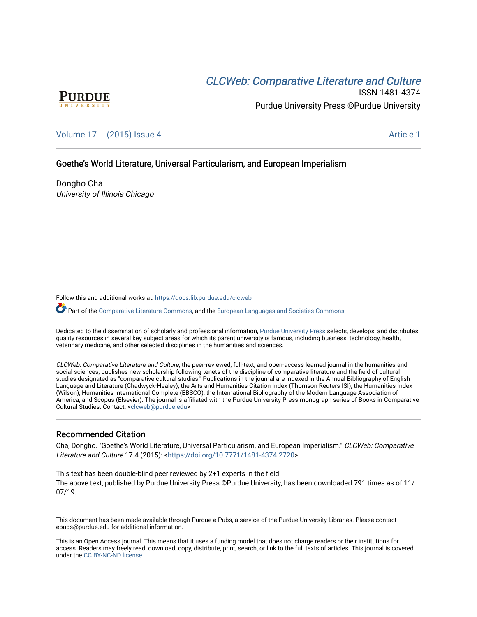# CLCW[eb: Comparative Liter](https://docs.lib.purdue.edu/clcweb)ature and Culture



ISSN 1481-4374 Purdue University Press ©Purdue University

[Volume 17](https://docs.lib.purdue.edu/clcweb/vol17) | [\(2015\) Issue 4](https://docs.lib.purdue.edu/clcweb/vol17/iss4) Article 1

## Goethe's World Literature, Universal Particularism, and European Imperialism

Dongho Cha University of Illinois Chicago

Follow this and additional works at: [https://docs.lib.purdue.edu/clcweb](https://docs.lib.purdue.edu/clcweb?utm_source=docs.lib.purdue.edu%2Fclcweb%2Fvol17%2Fiss4%2F1&utm_medium=PDF&utm_campaign=PDFCoverPages)

Part of the [Comparative Literature Commons,](http://network.bepress.com/hgg/discipline/454?utm_source=docs.lib.purdue.edu%2Fclcweb%2Fvol17%2Fiss4%2F1&utm_medium=PDF&utm_campaign=PDFCoverPages) and the [European Languages and Societies Commons](http://network.bepress.com/hgg/discipline/482?utm_source=docs.lib.purdue.edu%2Fclcweb%2Fvol17%2Fiss4%2F1&utm_medium=PDF&utm_campaign=PDFCoverPages)

Dedicated to the dissemination of scholarly and professional information, [Purdue University Press](http://www.thepress.purdue.edu/) selects, develops, and distributes quality resources in several key subject areas for which its parent university is famous, including business, technology, health, veterinary medicine, and other selected disciplines in the humanities and sciences.

CLCWeb: Comparative Literature and Culture, the peer-reviewed, full-text, and open-access learned journal in the humanities and social sciences, publishes new scholarship following tenets of the discipline of comparative literature and the field of cultural studies designated as "comparative cultural studies." Publications in the journal are indexed in the Annual Bibliography of English Language and Literature (Chadwyck-Healey), the Arts and Humanities Citation Index (Thomson Reuters ISI), the Humanities Index (Wilson), Humanities International Complete (EBSCO), the International Bibliography of the Modern Language Association of America, and Scopus (Elsevier). The journal is affiliated with the Purdue University Press monograph series of Books in Comparative Cultural Studies. Contact: [<clcweb@purdue.edu](mailto:clcweb@purdue.edu)>

# Recommended Citation

Cha, Dongho. "Goethe's World Literature, Universal Particularism, and European Imperialism." CLCWeb: Comparative Literature and Culture 17.4 (2015): <<https://doi.org/10.7771/1481-4374.2720>>

This text has been double-blind peer reviewed by 2+1 experts in the field. The above text, published by Purdue University Press ©Purdue University, has been downloaded 791 times as of 11/ 07/19.

This document has been made available through Purdue e-Pubs, a service of the Purdue University Libraries. Please contact epubs@purdue.edu for additional information.

This is an Open Access journal. This means that it uses a funding model that does not charge readers or their institutions for access. Readers may freely read, download, copy, distribute, print, search, or link to the full texts of articles. This journal is covered under the [CC BY-NC-ND license.](https://creativecommons.org/licenses/by-nc-nd/4.0/)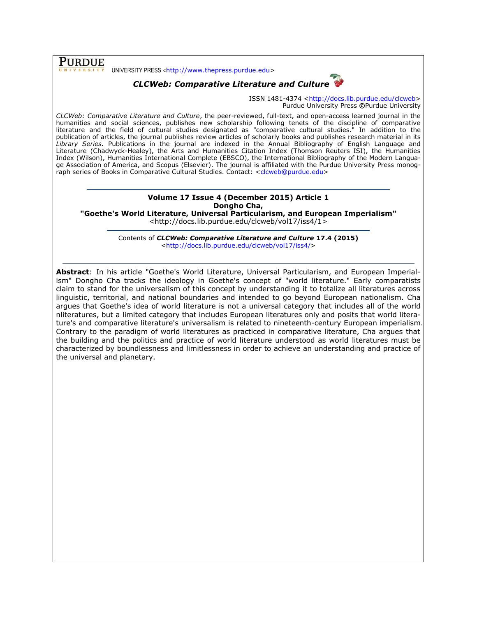UNIVERSITY PRESS <[http://www.thepress.purdue.edu>](http://www.thepress.purdue.edu/)

**PURDUE** 



ISSN 1481-4374 [<http://docs.lib.purdue.edu/clcweb>](http://docs.lib.purdue.edu/clcweb) Purdue University Press **©**Purdue University

*CLCWeb: Comparative Literature and Culture*, the peer-reviewed, full-text, and open-access learned journal in the humanities and social sciences, publishes new scholarship following tenets of the discipline of comparative literature and the field of cultural studies designated as "comparative cultural studies." In addition to the publication of articles, the journal publishes review articles of scholarly books and publishes research material in its *Library Series.* Publications in the journal are indexed in the Annual Bibliography of English Language and Literature (Chadwyck-Healey), the Arts and Humanities Citation Index (Thomson Reuters ISI), the Humanities Index (Wilson), Humanities International Complete (EBSCO), the International Bibliography of the Modern Language Association of America, and Scopus (Elsevier). The journal is affiliated with the Purdue University Press monog-raph series of Books in Comparative Cultural Studies. Contact: [<clcweb@purdue.edu>](mailto:clcweb@purdue.edu)

### **Volume 17 Issue 4 (December 2015) Article 1 Dongho Cha,**

**"Goethe's World Literature, Universal Particularism, and European Imperialism"**

<http://docs.lib.purdue.edu/clcweb/vol17/iss4/1>

Contents of *CLCWeb: Comparative Literature and Culture* **17.4 (2015)** [<http://docs.lib.purdue.edu/clcweb/vol17/iss4/>](http://docs.lib.purdue.edu/clcweb/vol17/iss4/)

**Abstract**: In his article "Goethe's World Literature, Universal Particularism, and European Imperialism" Dongho Cha tracks the ideology in Goethe's concept of "world literature." Early comparatists claim to stand for the universalism of this concept by understanding it to totalize all literatures across linguistic, territorial, and national boundaries and intended to go beyond European nationalism. Cha argues that Goethe's idea of world literature is not a universal category that includes all of the world nliteratures, but a limited category that includes European literatures only and posits that world literature's and comparative literature's universalism is related to nineteenth-century European imperialism. Contrary to the paradigm of world literatures as practiced in comparative literature, Cha argues that the building and the politics and practice of world literature understood as world literatures must be characterized by boundlessness and limitlessness in order to achieve an understanding and practice of the universal and planetary.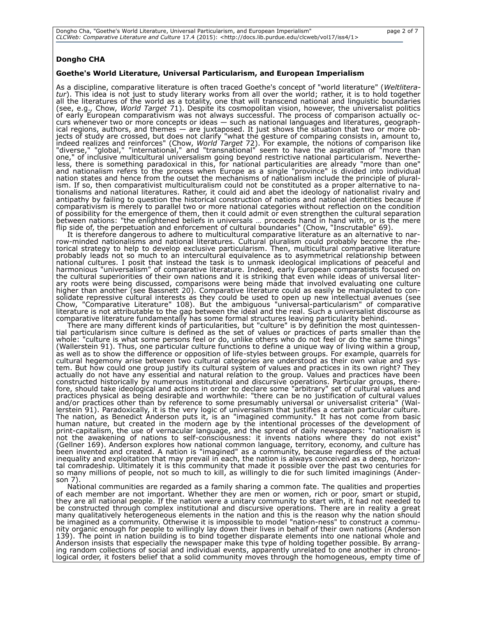## **Dongho CHA**

#### **Goethe's World Literature, Universal Particularism, and European Imperialism**

As a discipline, comparative literature is often traced Goethe's concept of "world literature" (*Weltliteratur*). This idea is not just to study literary works from all over the world; rather, it is to hold together all the literatures of the world as a totality, one that will transcend national and linguistic boundaries (see, e.g., Chow, *World Target* 71). Despite its cosmopolitan vision, however, the universalist politics of early European comparativism was not always successful. The process of comparison actually occurs whenever two or more concepts or ideas — such as national languages and literatures, geographical regions, authors, and themes — are juxtaposed. It just shows the situation that two or more objects of study are crossed, but does not clarify "what the gesture of comparing consists in, amount to, indeed realizes and reinforces" (Chow, *World Target* 72). For example, the notions of comparison like "diverse," "global," "international," and "transnational" seem to have the aspiration of "more than one," of inclusive multicultural universalism going beyond restrictive national particularism. Nevertheless, there is something paradoxical in this, for national particularities are already "more than one" and nationalism refers to the process when Europe as a single "province" is divided into individual nation states and hence from the outset the mechanisms of nationalism include the principle of pluralism. If so, then comparativist multiculturalism could not be constituted as a proper alternative to nationalisms and national literatures. Rather, it could aid and abet the ideology of nationalist rivalry and antipathy by failing to question the historical construction of nations and national identities because if comparativism is merely to parallel two or more national categories without reflection on the condition of possibility for the emergence of them, then it could admit or even strengthen the cultural separation between nations: "the enlightened beliefs in universals … proceeds hand in hand with, or is the mere flip side of, the perpetuation and enforcement of cultural boundaries" (Chow, "Inscrutable" 69).

It is therefore dangerous to adhere to multicultural comparative literature as an alternative to narrow-minded nationalisms and national literatures. Cultural pluralism could probably become the rhetorical strategy to help to develop exclusive particularism. Then, multicultural comparative literature probably leads not so much to an intercultural equivalence as to asymmetrical relationship between national cultures. I posit that instead the task is to unmask ideological implications of peaceful and harmonious "universalism" of comparative literature. Indeed, early European comparatists focused on the cultural superiorities of their own nations and it is striking that even while ideas of universal literary roots were being discussed, comparisons were being made that involved evaluating one culture higher than another (see Bassnett 20). Comparative literature could as easily be manipulated to consolidate repressive cultural interests as they could be used to open up new intellectual avenues (see Chow, "Comparative Literature" 108). But the ambiguous "universal-particularism" of comparative literature is not attributable to the gap between the ideal and the real. Such a universalist discourse as comparative literature fundamentally has some formal structures leaving particularity behind.

There are many different kinds of particularities, but "culture" is by definition the most quintessential particularism since culture is defined as the set of values or practices of parts smaller than the whole: "culture is what some persons feel or do, unlike others who do not feel or do the same things" (Wallerstein 91). Thus, one particular culture functions to define a unique way of living within a group, as well as to show the difference or opposition of life-styles between groups. For example, quarrels for cultural hegemony arise between two cultural categories are understood as their own value and system. But how could one group justify its cultural system of values and practices in its own right? They actually do not have any essential and natural relation to the group. Values and practices have been constructed historically by numerous institutional and discursive operations. Particular groups, therefore, should take ideological and actions in order to declare some "arbitrary" set of cultural values and practices physical as being desirable and worthwhile: "there can be no justification of cultural values and/or practices other than by reference to some presumably universal or universalist criteria" (Wallerstein 91). Paradoxically, it is the very logic of universalism that justifies a certain particular culture. The nation, as Benedict Anderson puts it, is an "imagined community." It has not come from basic human nature, but created in the modern age by the intentional processes of the development of print-capitalism, the use of vernacular language, and the spread of daily newspapers: "nationalism is not the awakening of nations to self-consciousness: it invents nations where they do not exist" (Gellner 169). Anderson explores how national common language, territory, economy, and culture has been invented and created. A nation is "imagined" as a community, because regardless of the actual inequality and exploitation that may prevail in each, the nation is always conceived as a deep, horizontal comradeship. Ultimately it is this community that made it possible over the past two centuries for so many millions of people, not so much to kill, as willingly to die for such limited imaginings (Anderson 7).

National communities are regarded as a family sharing a common fate. The qualities and properties of each member are not important. Whether they are men or women, rich or poor, smart or stupid, they are all national people. If the nation were a unitary community to start with, it had not needed to be constructed through complex institutional and discursive operations. There are in reality a great many qualitatively heterogeneous elements in the nation and this is the reason why the nation should be imagined as a community. Otherwise it is impossible to model "nation-ness" to construct a community organic enough for people to willingly lay down their lives in behalf of their own nations (Anderson 139). The point in nation building is to bind together disparate elements into one national whole and Anderson insists that especially the newspaper make this type of holding together possible. By arranging random collections of social and individual events, apparently unrelated to one another in chronological order, it fosters belief that a solid community moves through the homogeneous, empty time of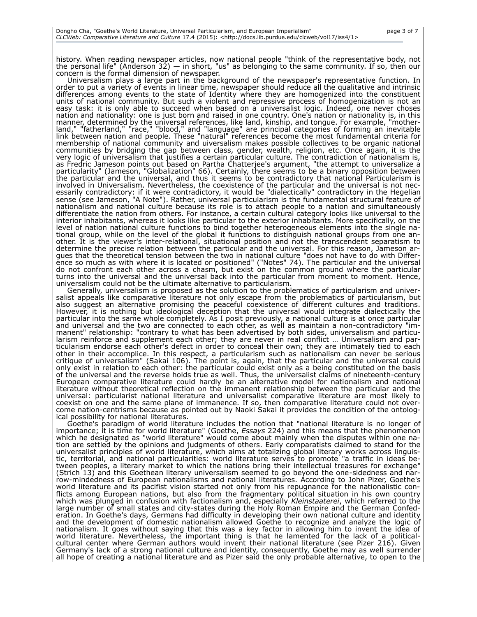history. When reading newspaper articles, now national people "think of the representative body, not the personal life" (Anderson 32)  $-$  in short, "us" as belonging to the same community. If so, then our concern is the formal dimension of newspaper.

Universalism plays a large part in the background of the newspaper's representative function. In order to put a variety of events in linear time, newspaper should reduce all the qualitative and intrinsic differences among events to the state of Identity where they are homogenized into the constituent units of national community. But such a violent and repressive process of homogenization is not an easy task: it is only able to succeed when based on a universalist logic. Indeed, one never choses nation and nationality: one is just born and raised in one country. One's nation or nationality is, in this manner, determined by the universal references, like land, kinship, and tongue. For example, "motherland," "fatherland," "race," "blood," and "language" are principal categories of forming an inevitable link between nation and people. These "natural" references become the most fundamental criteria for membership of national community and uiversalism makes possible collectives to be organic national communities by bridging the gap between class, gender, wealth, religion, etc. Once again, it is the very logic of universalism that justifies a certain particular culture. The contradiction of nationalism is, as Fredric Jameson points out based on Partha Chatterjee's argument, "the attempt to universalize a particularity" (Jameson, "Globalization" 66). Certainly, there seems to be a binary opposition between the particular and the universal, and thus it seems to be contradictory that national Particularism is involved in Universalism. Nevertheless, the coexistence of the particular and the universal is not necessarily contradictory: if it were contradictory, it would be "dialectically" contradictory in the Hegelian sense (see Jameson, "A Note"). Rather, universal particularism is the fundamental structural feature of nationalism and national culture because its role is to attach people to a nation and simultaneously differentiate the nation from others. For instance, a certain cultural category looks like universal to the interior inhabitants, whereas it looks like particular to the exterior inhabitants. More specifically, on the level of nation national culture functions to bind together heterogeneous elements into the single national group, while on the level of the global it functions to distinguish national groups from one another. It is the viewer's inter-relational, situational position and not the transcendent separatism to determine the precise relation between the particular and the universal. For this reason, Jameson argues that the theoretical tension between the two in national culture "does not have to do with Difference so much as with where it is located or positioned" ("Notes" 74). The particular and the universal do not confront each other across a chasm, but exist on the common ground where the particular turns into the universal and the universal back into the particular from moment to moment. Hence, universalism could not be the ultimate alternative to particularism.

Generally, universalism is proposed as the solution to the problematics of particularism and universalist appeals like comparative literature not only escape from the problematics of particularism, but also suggest an alternative promising the peaceful coexistence of different cultures and traditions. However, it is nothing but ideological deception that the universal would integrate dialectically the particular into the same whole completely. As I posit previously, a national culture is at once particular and universal and the two are connected to each other, as well as maintain a non-contradictory "immanent" relationship: "contrary to what has been advertised by both sides, universalism and particularism reinforce and supplement each other; they are never in real conflict … Universalism and particularism endorse each other's defect in order to conceal their own; they are intimately tied to each other in their accomplice. In this respect, a particularism such as nationalism can never be serious critique of universalism" (Sakai 106). The point is, again, that the particular and the universal could only exist in relation to each other: the particular could exist only as a being constituted on the basis of the universal and the reverse holds true as well. Thus, the universalist claims of nineteenth-century European comparative literature could hardly be an alternative model for nationalism and national literature without theoretical reflection on the immanent relationship between the particular and the universal: particularist national literature and universalist comparative literature are most likely to coexist on one and the same plane of immanence. If so, then comparative literature could not overcome nation-centrisms because as pointed out by Naoki Sakai it provides the condition of the ontological possibility for national literatures.

Goethe's paradigm of world literature includes the notion that "national literature is no longer of importance; it is time for world literature" (Goethe, *Essays* 224) and this means that the phenomenon which he designated as "world literature" would come about mainly when the disputes within one nation are settled by the opinions and judgments of others. Early comparatists claimed to stand for the universalist principles of world literature, which aims at totalizing global literary works across linguistic, territorial, and national particularities: world literature serves to promote "a traffic in ideas between peoples, a literary market to which the nations bring their intellectual treasures for exchange" (Strich 13) and this Goethean literary universalism seemed to go beyond the one-sidedness and narrow-mindedness of European nationalisms and national literatures. According to John Pizer, Goethe's world literature and its pacifist vision started not only from his repugnance for the nationalistic conflicts among European nations, but also from the fragmentary political situation in his own country which was plunged in confusion with factionalism and, especially *Kleinstaaterei*, which referred to the large number of small states and city-states during the Holy Roman Empire and the German Confederation. In Goethe's days, Germans had difficulty in developing their own national culture and identity and the development of domestic nationalism allowed Goethe to recognize and analyze the logic of nationalism. It goes without saying that this was a key factor in allowing him to invent the idea of world literature. Nevertheless, the important thing is that he lamented for the lack of a politicalcultural center where German authors would invent their national literature (see Pizer 216). Given Germany's lack of a strong national culture and identity, consequently, Goethe may as well surrender all hope of creating a national literature and as Pizer said the only probable alternative, to open to the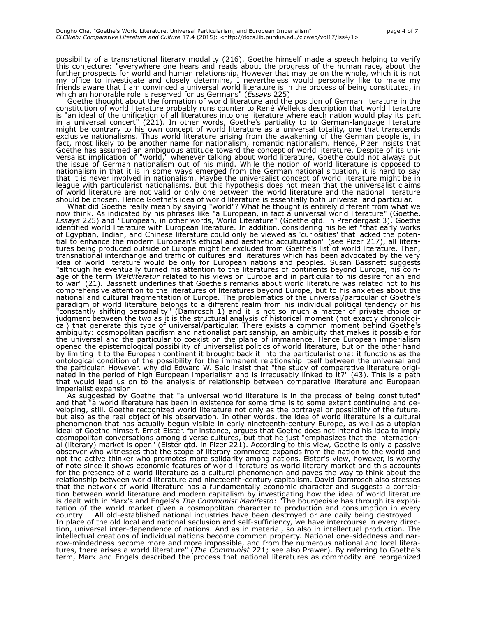possibility of a transnational literary modality (216). Goethe himself made a speech helping to verify this conjecture: "everywhere one hears and reads about the progress of the human race, about the further prospects for world and human relationship. However that may be on the whole, which it is not my office to investigate and closely determine, I nevertheless would personally like to make my friends aware that I am convinced a universal world literature is in the process of being constituted, in which an honorable role is reserved for us Germans" (*Essays* 225)

Goethe thought about the formation of world literature and the position of German literature in the constitution of world literature probably runs counter to René Wellek's description that world literature is "an ideal of the unification of all literatures into one literature where each nation would play its part in a universal concert" (221). In other words, Goethe's partiality to to German-language literature in a universal concert" (221). In other words, Goethe's partiality to to German-language literature might be contrary to his own concept of world literature as a universal totality, one that transcends exclusive nationalisms. Thus world literature arising from the awakening of the German people is, in fact, most likely to be another name for nationalism, romantic nationalism. Hence, Pizer insists that Goethe has assumed an ambiguous attitude toward the concept of world literature. Despite of its universalist implication of "world," whenever talking about world literature, Goethe could not always put the issue of German nationalism out of his mind. While the notion of world literature is opposed to nationalism in that it is in some ways emerged from the German national situation, it is hard to say that it is never involved in nationalism. Maybe the universalist concept of world literature might be in league with particularist nationalisms. But this hypothesis does not mean that the universalist claims of world literature are not valid or only one between the world literature and the national literature should be chosen. Hence Goethe's idea of world literature is essentially both universal and particular.

What did Goethe really mean by saying "world"? What he thought is entirely different from what we now think. As indicated by his phrases like "a European, in fact a universal world literature" (Goethe, *Essays* 225) and "European, in other words, World Literature" (Goethe qtd. in Prendergast 3), Goethe identified world literature with European literature. In addition, considering his belief "that early works of Egyptian, Indian, and Chinese literature could only be viewed as 'curiosities' that lacked the potential to enhance the modern European's ethical and aesthetic acculturation" (see Pizer 217), all literatures being produced outside of Europe might be excluded from Goethe's list of world literature. Then, transnational interchange and traffic of cultures and literatures which has been advocated by the very idea of world literature would be only for European nations and peoples. Susan Bassnett suggests "although he eventually turned his attention to the literatures of continents beyond Europe, his coinage of the term *Weltliteratur* related to his views on Europe and in particular to his desire for an end to war" (21). Bassnett underlines that Goethe's remarks about world literature was related not to his comprehensive attention to the literatures of literatures beyond Europe, but to his anxieties about the national and cultural fragmentation of Europe. The problematics of the universal/particular of Goethe's paradigm of world literature belongs to a different realm from his individual political tendency or his "constantly shifting personality" (Damrosch 1) and it is not so much a matter of private choice or judgment between the two as it is the structural analysis of historical moment (not exactly chronological) that generate this type of universal/particular. There exists a common moment behind Goethe's ambiguity: cosmopolitan pacifism and nationalist partisanship, an ambiguity that makes it possible for the universal and the particular to coexist on the plane of immanence. Hence European imperialism opened the epistemological possibility of universalist politics of world literature, but on the other hand by limiting it to the European continent it brought back it into the particularist one: it functions as the ontological condition of the possibility for the immanent relationship itself between the universal and the particular. However, why did Edward W. Said insist that "the study of comparative literature originated in the period of high European imperialism and is irrecusably linked to it?" (43). This is a path that would lead us on to the analysis of relationship between comparative literature and European imperialist expansion.

As suggested by Goethe that "a universal world literature is in the process of being constituted' and that "a world literature has been in existence for some time is to some extent continuing and developing, still. Goethe recognized world literature not only as the portrayal or possibility of the future, but also as the real object of his observation. In other words, the idea of world literature is a cultural phenomenon that has actually begun visible in early nineteenth-century Europe, as well as a utopian ideal of Goethe himself. Ernst Elster, for instance, argues that Goethe does not intend his idea to imply cosmopolitan conversations among diverse cultures, but that he just "emphasizes that the international (literary) market is open" (Elster qtd. in Pizer 221). According to this view, Goethe is only a passive observer who witnesses that the scope of literary commerce expands from the nation to the world and not the active thinker who promotes more solidarity among nations. Elster's view, however, is worthy of note since it shows economic features of world literature as world literary market and this accounts for the presence of a world literature as a cultural phenomenon and paves the way to think about the relationship between world literature and nineteenth-century capitalism. David Damrosch also stresses that the network of world literature has a fundamentally economic character and suggests a correlation between world literature and modern capitalism by investigating how the idea of world literature is dealt with in Marx's and Engels's *The Communist Manifesto*: "The bourgeoisie has through its exploitation of the world market given a cosmopolitan character to production and consumption in every country … All old-established national industries have been destroyed or are daily being destroyed … In place of the old local and national seclusion and self-sufficiency, we have intercourse in every direction, universal inter-dependence of nations. And as in material, so also in intellectual production. The intellectual creations of individual nations become common property. National one-sidedness and narrow-mindedness become more and more impossible, and from the numerous national and local literatures, there arises a world literature" (*The Communist* 221; see also Prawer). By referring to Goethe's term, Marx and Engels described the process that national literatures as commodity are reorganized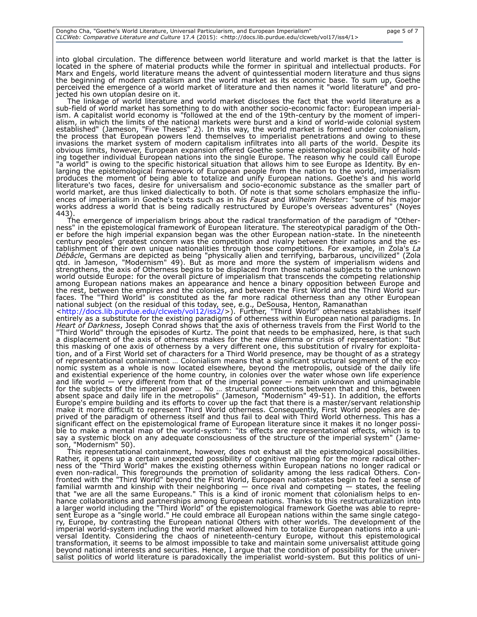into global circulation. The difference between world literature and world market is that the latter is located in the sphere of material products while the former in spiritual and intellectual products. For Marx and Engels, world literature means the advent of quintessential modern literature and thus signs the beginning of modern capitalism and the world market as its economic base. To sum up, Goethe perceived the emergence of a world market of literature and then names it "world literature" and projected his own utopian desire on it.

The linkage of world literature and world market discloses the fact that the world literature as a sub-field of world market has something to do with another socio-economic factor: European imperialism. A capitalist world economy is "followed at the end of the 19th-century by the moment of imperialism, in which the limits of the national markets were burst and a kind of world-wide colonial system established" (Jameson, "Five Theses" 2). In this way, the world market is formed under colonialism, the process that European powers lend themselves to imperialist penetrations and owing to these invasions the market system of modern capitalism infiltrates into all parts of the world. Despite its obvious limits, however, European expansion offered Goethe some epistemological possibility of holding together individual European nations into the single Europe. The reason why he could call Europe "a world" is owing to the specific historical situation that allows him to see Europe as Identity. By enlarging the epistemological framework of European people from the nation to the world, imperialism produces the moment of being able to totalize and unify European nations. Goethe's and his world literature's two faces, desire for universalism and socio-economic substance as the smaller part of world market, are thus linked dialectically to both. Of note is that some scholars emphasize the influences of imperialism in Goethe's texts such as in his *Faust* and *Wilhelm Meister*: "some of his major works address a world that is being radically restructured by Europe's overseas adventures" (Noyes 443)

The emergence of imperialism brings about the radical transformation of the paradigm of "Otherness" in the epistemological framework of European literature. The stereotypical paradigm of the Other before the high imperial expansion began was the other European nation-state. In the nineteenth century peoples' greatest concern was the competition and rivalry between their nations and the establishment of their own unique nationalities through those competitions. For example, in Zola's *La Débâcle*, Germans are depicted as being "physically alien and terrifying, barbarous, uncivilized" (Zola qtd. in Jameson, "Modernism" 49). But as more and more the system of imperialism widens and strengthens, the axis of Otherness begins to be displaced from those national subjects to the unknown world outside Europe: for the overall picture of imperialism that transcends the competing relationship among European nations makes an appearance and hence a binary opposition between Europe and the rest, between the empires and the colonies, and between the First World and the Third World surfaces. The "Third World" is constituted as the far more radical otherness than any other European national subject (on the residual of this today, see, e.g., DeSousa, Henton, Ramanathan

[<http://docs.lib.purdue.edu/clcweb/vol12/iss2/>](http://docs.lib.purdue.edu/clcweb/vol12/iss2/)). Further, "Third World" otherness establishes itself entirely as a substitute for the existing paradigms of otherness within European national paradigms. In *Heart of Darkness*, Joseph Conrad shows that the axis of otherness travels from the First World to the "Third World" through the episodes of Kurtz. The point that needs to be emphasized, here, is that such a displacement of the axis of otherness makes for the new dilemma or crisis of representation: "But this masking of one axis of otherness by a very different one, this substitution of rivalry for exploitation, and of a First World set of characters for a Third World presence, may be thought of as a strategy of representational containment … Colonialism means that a significant structural segment of the economic system as a whole is now located elsewhere, beyond the metropolis, outside of the daily life and existential experience of the home country, in colonies over the water whose own life experience and life world — very different from that of the imperial power — remain unknown and unimaginable for the subjects of the imperial power … No … structural connections between that and this, between absent space and daily life in the metropolis" (Jameson, "Modernism" 49-51). In addition, the efforts Europe's empire building and its efforts to cover up the fact that there is a master/servant relationship make it more difficult to represent Third World otherness. Consequently, First World peoples are deprived of the paradigm of otherness itself and thus fail to deal with Third World otherness. This has a significant effect on the epistemological frame of European literature since it makes it no longer possible to make a mental map of the world-system: "its effects are representational effects, which is to say a systemic block on any adequate consciousness of the structure of the imperial system" (Jameson, "Modernism" 50).

This representational containment, however, does not exhaust all the epistemological possibilities. Rather, it opens up a certain unexpected possibility of cognitive mapping for the more radical otherness of the "Third World" makes the existing otherness within European nations no longer radical or even non-radical. This foregrounds the promotion of solidarity among the less radical Others. Confronted with the "Third World" beyond the First World, European nation-states begin to feel a sense of familial warmth and kinship with their neighboring — once rival and competing — states, the feeling that "we are all the same Europeans." This is a kind of ironic moment that colonialism helps to enhance collaborations and partnerships among European nations. Thanks to this restructuralization into a larger world including the "Third World" of the epistemological framework Goethe was able to represent Europe as a "single world." He could embrace all European nations within the same single category, Europe, by contrasting the European national Others with other worlds. The development of the imperial world-system including the world market allowed him to totalize European nations into a universal Identity. Considering the chaos of nineteenth-century Europe, without this epistemological transformation, it seems to be almost impossible to take and maintain some universalist attitude going beyond national interests and securities. Hence, I argue that the condition of possibility for the universalist politics of world literature is paradoxically the imperialist world-system. But this politics of uni-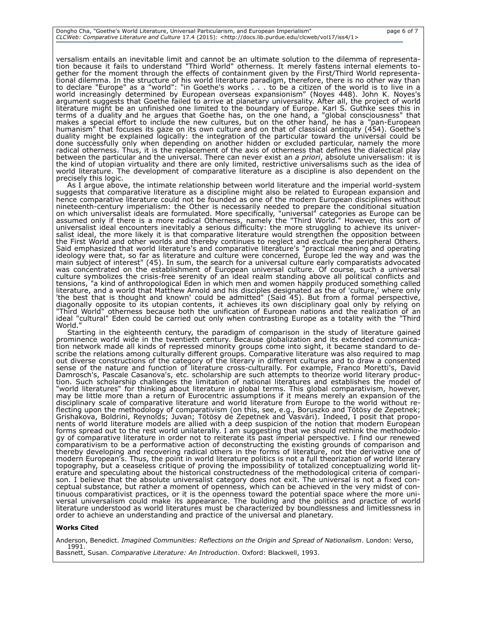versalism entails an inevitable limit and cannot be an ultimate solution to the dilemma of representation because it fails to understand "Third World" otherness. It merely fastens internal elements together for the moment through the effects of containment given by the First/Third World representational dilemma. In the structure of his world literature paradigm, therefore, there is no other way than to declare "Europe" as a "world": "in Goethe's works . . . to be a citizen of the world is to live in a world increasingly determined by European overseas expansionism" (Noyes 448). John K. Noyes's argument suggests that Goethe failed to arrive at planetary universality. After all, the project of world literature might be an unfinished one limited to the boundary of Europe. Karl S. Guthke sees this in terms of a duality and he argues that Goethe has, on the one hand, a "global consciousness" that makes a special effort to include the new cultures, but on the other hand, he has a "pan-European humanism" that focuses its gaze on its own culture and on that of classical antiquity (454). Goethe's duality might be explained logically: the integration of the particular toward the universal could be done successfully only when depending on another hidden or excluded particular, namely the more radical otherness. Thus, it is the replacement of the axis of otherness that defines the dialectical play between the particular and the universal. There can never exist an *a priori*, absolute universalism: it is the kind of utopian virtuality and there are only limited, restrictive universalisms such as the idea of world literature. The development of comparative literature as a discipline is also dependent on the precisely this logic.

As I argue above, the intimate relationship between world literature and the imperial world-system suggests that comparative literature as a discipline might also be related to European expansion and hence comparative literature could not be founded as one of the modern European disciplines without nineteenth-century imperialism: the Other is necessarily needed to prepare the conditional situation on which universalist ideals are formulated. More specifically, "universal" categories as Europe can be assumed only if there is a more radical Otherness, namely the "Third World." However, this sort of universalist ideal encounters inevitably a serious difficulty: the more struggling to achieve its universalist ideal, the more likely it is that comparative literature would strengthen the opposition between the First World and other worlds and thereby continues to neglect and exclude the peripheral Others. Said emphasized that world literature's and comparative literature's "practical meaning and operating ideology were that, so far as literature and culture were concerned, Europe led the way and was the main subject of interest" (45). In sum, the search for a universal culture early comparatists advocated was concentrated on the establishment of European universal culture. Of course, such a universal culture symbolizes the crisis-free serenity of an ideal realm standing above all political conflicts and tensions, "a kind of anthropological Eden in which men and women happily produced something called literature, and a world that Matthew Arnold and his disciples designated as the of 'culture,' where only 'the best that is thought and known' could be admitted" (Said 45). But from a formal perspective, diagonally opposite to its utopian contents, it achieves its own disciplinary goal only by relying on "Third World" otherness because both the unification of European nations and the realization of an ideal "cultural" Eden could be carried out only when contrasting Europe as a totality with the "Third World."

Starting in the eighteenth century, the paradigm of comparison in the study of literature gained prominence world wide in the twentieth century. Because globalization and its extended communication network made all kinds of repressed minority groups come into sight, it became standard to describe the relations among culturally different groups. Comparative literature was also required to map out diverse constructions of the category of the literary in different cultures and to draw a consented sense of the nature and function of literature cross-culturally. For example, Franco Moretti's, David Damrosch's, Pascale Casanova's, etc. scholarship are such attempts to theorize world literary production. Such scholarship challenges the limitation of national literatures and establishes the model of "world literatures" for thinking about literature in global terms. This global comparativism, however, may be little more than a return of Eurocentric assumptions if it means merely an expansion of the disciplinary scale of comparative literature and world literature from Europe to the world without reflecting upon the methodology of comparativism (on this, see, e.g., Boruszko and Tötösy de Zepetnek; Grishakova, Boldrini, Reynolds; Juvan; Tötösy de Zepetnek and Vasvári). Indeed, I posit that proponents of world literature models are allied with a deep suspicion of the notion that modern European forms spread out to the rest world unilaterally. I am suggesting that we should rethink the methodology of comparative literature in order not to reiterate its past imperial perspective. I find our renewed comparativism to be a performative action of deconstructing the existing grounds of comparison and thereby developing and recovering radical others in the forms of literature, not the derivative one of modern European's. Thus, the point in world literature politics is not a full theorization of world literary topography, but a ceaseless critique of proving the impossibility of totalized conceptualizing world literature and speculating about the historical constructedness of the methodological criteria of comparison. I believe that the absolute universalist category does not exit. The universal is not a fixed conceptual substance, but rather a moment of openness, which can be achieved in the very midst of continuous comparativist practices, or it is the openness toward the potential space where the more universal universalism could make its appearance. The building and the politics and practice of world literature understood as world literatures must be characterized by boundlessness and limitlessness in order to achieve an understanding and practice of the universal and planetary.

#### **Works Cited**

Anderson, Benedict. *Imagined Communities: Reflections on the Origin and Spread of Nationalism*. London: Verso, 1991. Bassnett, Susan. *Comparative Literature: An Introduction*. Oxford: Blackwell, 1993.